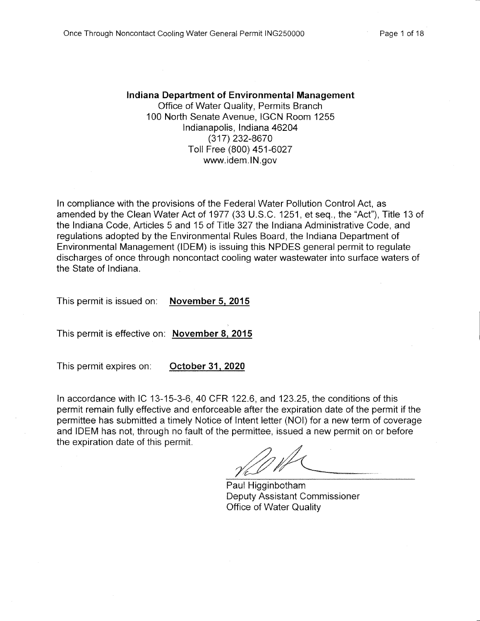#### **Indiana Department of Environmental Management** Office of Water Quality, Permits Branch 100 North Senate Avenue, IGCN Room 1255 Indianapolis, Indiana 46204 (317) 232-8670 Toll Free (800) 451-6027 www.idem.IN.gov

In compliance with the provisions of the Federal Water Pollution Control Act, as amended by the Clean Water Act of 1977 (33 U.S.C. 1251, et seq., the "Act"), Title 13 of the Indiana Code, Articles 5 and 15 of Title 327 the Indiana Administrative Code, and regulations adopted by the Environmental Rules Board, the Indiana Department of Environmental Management (IDEM) is issuing this NPDES general permit to regulate discharges of once through noncontact cooling water wastewater into surface waters of the State of Indiana.

This permit is issued on: **November 5, 2015** 

This permit is effective on: November 8, 2015

This permit expires on: October 31, 2020

In accordance with IC 13-15-3-6, 40 CFR 122.6, and 123.25, the conditions of this permit remain fully effective and enforceable after the expiration date of the permit if the permittee has submitted a timely Notice of Intent letter (NOI) for a new term of coverage and IDEM has not, through no fault of the permittee, issued a new permit on or before the expiration date of this permit.

Paul Higginbotham Deputy Assistant Commissioner Office of Water Quality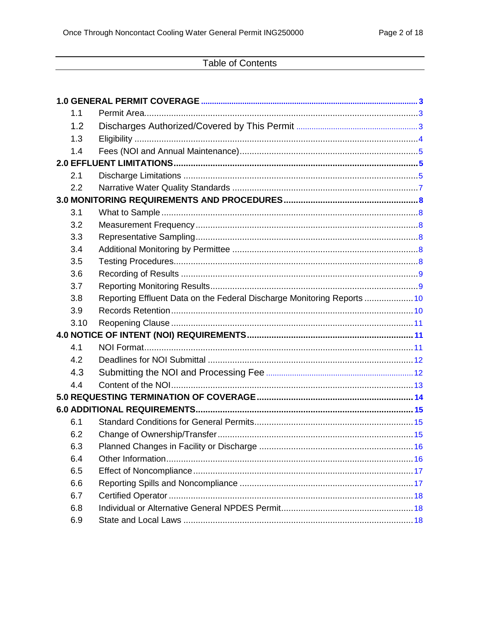# **Table of Contents**

| 1.1  |                                                                         |
|------|-------------------------------------------------------------------------|
| 1.2  |                                                                         |
| 1.3  |                                                                         |
| 1.4  |                                                                         |
|      |                                                                         |
| 2.1  |                                                                         |
| 2.2  |                                                                         |
|      |                                                                         |
| 3.1  |                                                                         |
| 3.2  |                                                                         |
| 3.3  |                                                                         |
| 3.4  |                                                                         |
| 3.5  |                                                                         |
| 3.6  |                                                                         |
| 3.7  |                                                                         |
| 3.8  | Reporting Effluent Data on the Federal Discharge Monitoring Reports  10 |
| 3.9  |                                                                         |
| 3.10 |                                                                         |
|      |                                                                         |
| 4.1  |                                                                         |
| 4.2  |                                                                         |
| 4.3  |                                                                         |
| 4.4  |                                                                         |
|      |                                                                         |
|      |                                                                         |
| 6.1  |                                                                         |
| 6.2  |                                                                         |
| 6.3  |                                                                         |
| 6.4  |                                                                         |
| 6.5  |                                                                         |
| 6.6  |                                                                         |
| 6.7  |                                                                         |
| 6.8  |                                                                         |
| 6.9  |                                                                         |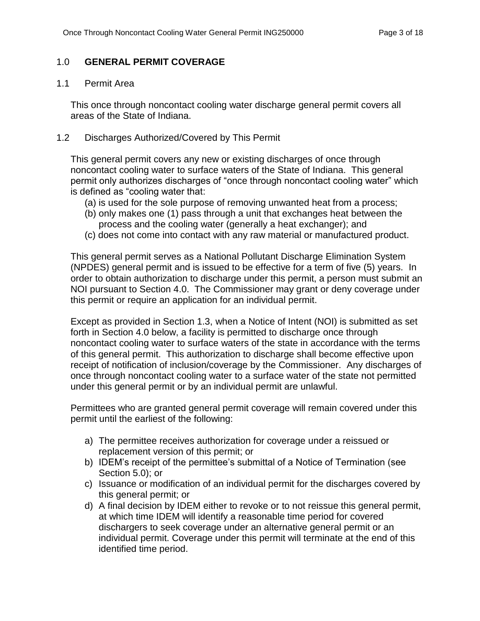## <span id="page-2-0"></span>1.0 **GENERAL PERMIT COVERAGE**

#### <span id="page-2-1"></span>1.1 Permit Area

This once through noncontact cooling water discharge general permit covers all areas of the State of Indiana.

## <span id="page-2-2"></span>1.2 Discharges Authorized/Covered by This Permit

This general permit covers any new or existing discharges of once through noncontact cooling water to surface waters of the State of Indiana. This general permit only authorizes discharges of "once through noncontact cooling water" which is defined as "cooling water that:

- (a) is used for the sole purpose of removing unwanted heat from a process;
- (b) only makes one (1) pass through a unit that exchanges heat between the process and the cooling water (generally a heat exchanger); and
- (c) does not come into contact with any raw material or manufactured product.

This general permit serves as a National Pollutant Discharge Elimination System (NPDES) general permit and is issued to be effective for a term of five (5) years. In order to obtain authorization to discharge under this permit, a person must submit an NOI pursuant to Section 4.0. The Commissioner may grant or deny coverage under this permit or require an application for an individual permit.

Except as provided in Section 1.3, when a Notice of Intent (NOI) is submitted as set forth in Section 4.0 below, a facility is permitted to discharge once through noncontact cooling water to surface waters of the state in accordance with the terms of this general permit. This authorization to discharge shall become effective upon receipt of notification of inclusion/coverage by the Commissioner. Any discharges of once through noncontact cooling water to a surface water of the state not permitted under this general permit or by an individual permit are unlawful.

Permittees who are granted general permit coverage will remain covered under this permit until the earliest of the following:

- a) The permittee receives authorization for coverage under a reissued or replacement version of this permit; or
- b) IDEM's receipt of the permittee's submittal of a Notice of Termination (see Section 5.0); or
- c) Issuance or modification of an individual permit for the discharges covered by this general permit; or
- d) A final decision by IDEM either to revoke or to not reissue this general permit, at which time IDEM will identify a reasonable time period for covered dischargers to seek coverage under an alternative general permit or an individual permit. Coverage under this permit will terminate at the end of this identified time period.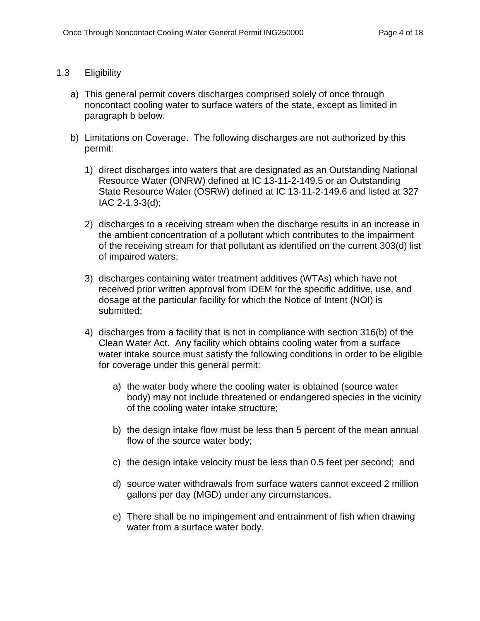## <span id="page-3-0"></span>1.3 Eligibility

- a) This general permit covers discharges comprised solely of once through noncontact cooling water to surface waters of the state, except as limited in paragraph b below.
- b) Limitations on Coverage. The following discharges are not authorized by this permit:
	- 1) direct discharges into waters that are designated as an Outstanding National Resource Water (ONRW) defined at IC 13-11-2-149.5 or an Outstanding State Resource Water (OSRW) defined at IC 13-11-2-149.6 and listed at 327 IAC 2-1.3-3(d);
	- 2) discharges to a receiving stream when the discharge results in an increase in the ambient concentration of a pollutant which contributes to the impairment of the receiving stream for that pollutant as identified on the current 303(d) list of impaired waters;
	- 3) discharges containing water treatment additives (WTAs) which have not received prior written approval from IDEM for the specific additive, use, and dosage at the particular facility for which the Notice of Intent (NOI) is submitted;
	- 4) discharges from a facility that is not in compliance with section 316(b) of the Clean Water Act. Any facility which obtains cooling water from a surface water intake source must satisfy the following conditions in order to be eligible for coverage under this general permit:
		- a) the water body where the cooling water is obtained (source water body) may not include threatened or endangered species in the vicinity of the cooling water intake structure;
		- b) the design intake flow must be less than 5 percent of the mean annual flow of the source water body;
		- c) the design intake velocity must be less than 0.5 feet per second; and
		- d) source water withdrawals from surface waters cannot exceed 2 million gallons per day (MGD) under any circumstances.
		- e) There shall be no impingement and entrainment of fish when drawing water from a surface water body.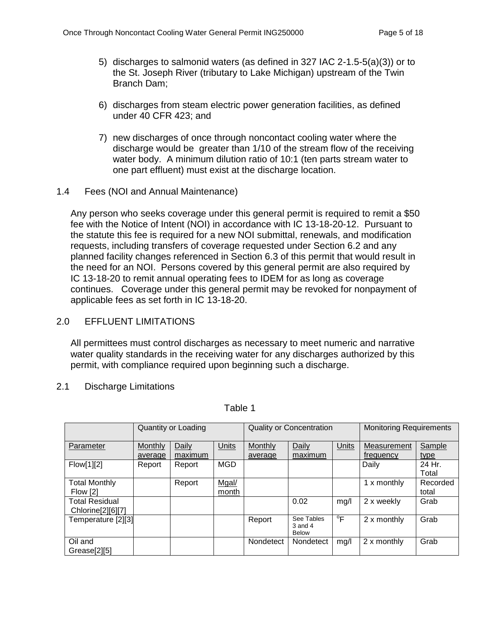- 5) discharges to salmonid waters (as defined in 327 IAC 2-1.5-5(a)(3)) or to the St. Joseph River (tributary to Lake Michigan) upstream of the Twin Branch Dam;
- 6) discharges from steam electric power generation facilities, as defined under 40 CFR 423; and
- 7) new discharges of once through noncontact cooling water where the discharge would be greater than 1/10 of the stream flow of the receiving water body. A minimum dilution ratio of 10:1 (ten parts stream water to one part effluent) must exist at the discharge location.
- <span id="page-4-0"></span>1.4 Fees (NOI and Annual Maintenance)

Any person who seeks coverage under this general permit is required to remit a \$50 fee with the Notice of Intent (NOI) in accordance with IC 13-18-20-12. Pursuant to the statute this fee is required for a new NOI submittal, renewals, and modification requests, including transfers of coverage requested under Section 6.2 and any planned facility changes referenced in Section 6.3 of this permit that would result in the need for an NOI. Persons covered by this general permit are also required by IC 13-18-20 to remit annual operating fees to IDEM for as long as coverage continues. Coverage under this general permit may be revoked for nonpayment of applicable fees as set forth in IC 13-18-20.

## <span id="page-4-1"></span>2.0 EFFLUENT LIMITATIONS

All permittees must control discharges as necessary to meet numeric and narrative water quality standards in the receiving water for any discharges authorized by this permit, with compliance required upon beginning such a discharge.

## <span id="page-4-2"></span>2.1 Discharge Limitations

|                       | Quantity or Loading |         |              |                | <b>Quality or Concentration</b>           | <b>Monitoring Requirements</b> |             |          |
|-----------------------|---------------------|---------|--------------|----------------|-------------------------------------------|--------------------------------|-------------|----------|
| Parameter             | Monthly             | Daily   | <b>Units</b> | <b>Monthly</b> | Daily                                     | <b>Units</b>                   | Measurement | Sample   |
|                       | average             | maximum |              | average        | maximum                                   |                                | frequency   | type     |
| Flow[1][2]            | Report              | Report  | <b>MGD</b>   |                |                                           |                                | Daily       | 24 Hr.   |
|                       |                     |         |              |                |                                           |                                |             | Total    |
| <b>Total Monthly</b>  |                     | Report  | Mgal/        |                |                                           |                                | 1 x monthly | Recorded |
| Flow [2]              |                     |         | month        |                |                                           |                                |             | total    |
| <b>Total Residual</b> |                     |         |              |                | 0.02                                      | mg/l                           | 2 x weekly  | Grab     |
| Chlorine[2][6][7]     |                     |         |              |                |                                           |                                |             |          |
| Temperature [2][3]    |                     |         |              | Report         | See Tables<br>$3$ and $4$<br><b>Below</b> | $\overline{F}$                 | 2 x monthly | Grab     |
| Oil and               |                     |         |              | Nondetect      | Nondetect                                 | mg/l                           | 2 x monthly | Grab     |
| Grease[2][5]          |                     |         |              |                |                                           |                                |             |          |

Table 1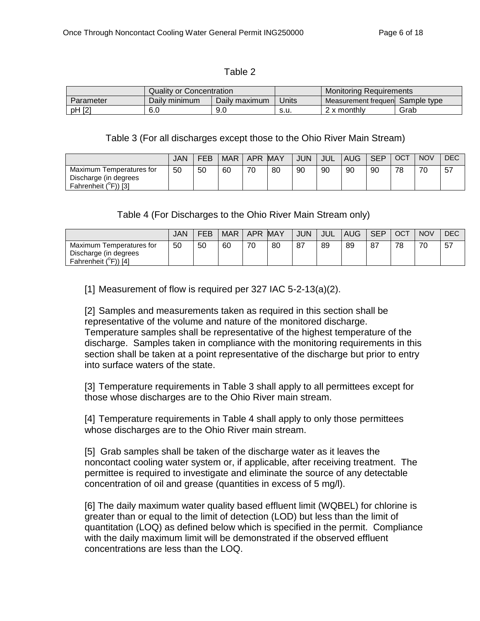#### Table 2

|                 | Quality or Concentration |               |       | Monitoring Requirements |             |
|-----------------|--------------------------|---------------|-------|-------------------------|-------------|
| Parameter       | Daily minimum            | Daily maximum | Units | Measurement frequent    | Sample type |
| נפז ו<br>pH [2] | 6.0                      | 9.0           | s.u.  | ' x monthlv             | Grab        |

#### Table 3 (For all discharges except those to the Ohio River Main Stream)

|                                                                                   | JAN | FEB | <b>MAR</b> | <b>APR</b> | <b>MAY</b> | <b>JUN</b> | JUL | <b>AUG</b> | <b>SEP</b> | OCT | <b>NOV</b> | <b>DEC</b> |
|-----------------------------------------------------------------------------------|-----|-----|------------|------------|------------|------------|-----|------------|------------|-----|------------|------------|
| Maximum Temperatures for<br>Discharge (in degrees<br>Fahrenheit $(^{\circ}F)$ [3] | 50  | 50  | 60         | 70         | 80         | 90         | 90  | 90         | 90         | 78  | 70         | 57         |

### Table 4 (For Discharges to the Ohio River Main Stream only)

|                                                                           | <b>JAN</b> | FEB | <b>MAR</b> | <b>APR</b> | <b>MAY</b> | <b>JUN</b> | <b>JUL</b> | <b>AUG</b> | <b>SEP</b> | OCT | <b>NOV</b> | <b>DEC</b> |
|---------------------------------------------------------------------------|------------|-----|------------|------------|------------|------------|------------|------------|------------|-----|------------|------------|
| Maximum Temperatures for<br>Discharge (in degrees<br>Fahrenheit (°F)) [4] | 50         | 50  | 60         | 70         | 80         | 87         | 89         | 89         | 87         | 78  | 70         | 57         |

[1] Measurement of flow is required per 327 IAC 5-2-13(a)(2).

[2] Samples and measurements taken as required in this section shall be representative of the volume and nature of the monitored discharge. Temperature samples shall be representative of the highest temperature of the discharge. Samples taken in compliance with the monitoring requirements in this section shall be taken at a point representative of the discharge but prior to entry into surface waters of the state.

[3] Temperature requirements in Table 3 shall apply to all permittees except for those whose discharges are to the Ohio River main stream.

[4] Temperature requirements in Table 4 shall apply to only those permittees whose discharges are to the Ohio River main stream.

[5] Grab samples shall be taken of the discharge water as it leaves the noncontact cooling water system or, if applicable, after receiving treatment. The permittee is required to investigate and eliminate the source of any detectable concentration of oil and grease (quantities in excess of 5 mg/l).

[6] The daily maximum water quality based effluent limit (WQBEL) for chlorine is greater than or equal to the limit of detection (LOD) but less than the limit of quantitation (LOQ) as defined below which is specified in the permit. Compliance with the daily maximum limit will be demonstrated if the observed effluent concentrations are less than the LOQ.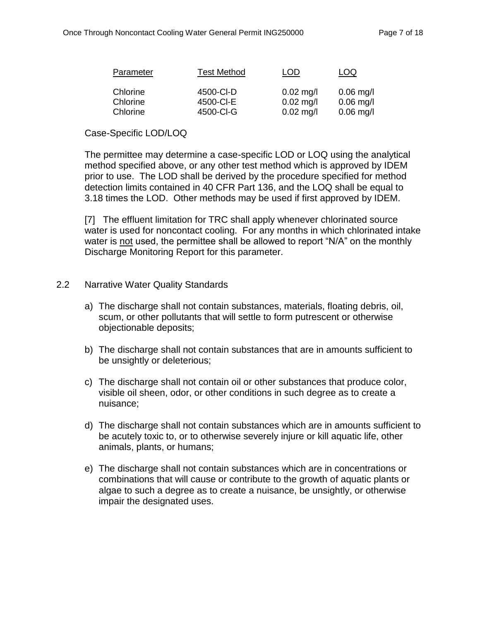| Parameter | <b>Test Method</b> | LOD         | LOQ         |
|-----------|--------------------|-------------|-------------|
| Chlorine  | 4500-CI-D          | $0.02$ mg/l | $0.06$ mg/l |
| Chlorine  | 4500-CI-E          | $0.02$ mg/l | $0.06$ mg/l |
| Chlorine  | 4500-CI-G          | $0.02$ mg/l | $0.06$ mg/l |

## Case-Specific LOD/LOQ

The permittee may determine a case-specific LOD or LOQ using the analytical method specified above, or any other test method which is approved by IDEM prior to use. The LOD shall be derived by the procedure specified for method detection limits contained in 40 CFR Part 136, and the LOQ shall be equal to 3.18 times the LOD. Other methods may be used if first approved by IDEM.

[7] The effluent limitation for TRC shall apply whenever chlorinated source water is used for noncontact cooling. For any months in which chlorinated intake water is not used, the permittee shall be allowed to report "N/A" on the monthly Discharge Monitoring Report for this parameter.

### <span id="page-6-0"></span>2.2 Narrative Water Quality Standards

- a) The discharge shall not contain substances, materials, floating debris, oil, scum, or other pollutants that will settle to form putrescent or otherwise objectionable deposits;
- b) The discharge shall not contain substances that are in amounts sufficient to be unsightly or deleterious;
- c) The discharge shall not contain oil or other substances that produce color, visible oil sheen, odor, or other conditions in such degree as to create a nuisance;
- d) The discharge shall not contain substances which are in amounts sufficient to be acutely toxic to, or to otherwise severely injure or kill aquatic life, other animals, plants, or humans;
- e) The discharge shall not contain substances which are in concentrations or combinations that will cause or contribute to the growth of aquatic plants or algae to such a degree as to create a nuisance, be unsightly, or otherwise impair the designated uses.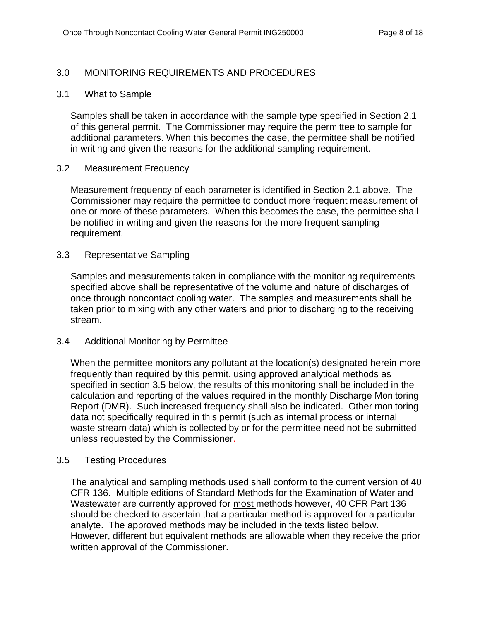## <span id="page-7-0"></span>3.0 MONITORING REQUIREMENTS AND PROCEDURES

#### <span id="page-7-1"></span>3.1 What to Sample

Samples shall be taken in accordance with the sample type specified in Section 2.1 of this general permit. The Commissioner may require the permittee to sample for additional parameters. When this becomes the case, the permittee shall be notified in writing and given the reasons for the additional sampling requirement.

#### <span id="page-7-2"></span>3.2 Measurement Frequency

Measurement frequency of each parameter is identified in Section 2.1 above. The Commissioner may require the permittee to conduct more frequent measurement of one or more of these parameters. When this becomes the case, the permittee shall be notified in writing and given the reasons for the more frequent sampling requirement.

### <span id="page-7-3"></span>3.3 Representative Sampling

Samples and measurements taken in compliance with the monitoring requirements specified above shall be representative of the volume and nature of discharges of once through noncontact cooling water. The samples and measurements shall be taken prior to mixing with any other waters and prior to discharging to the receiving stream.

#### <span id="page-7-4"></span>3.4 Additional Monitoring by Permittee

When the permittee monitors any pollutant at the location(s) designated herein more frequently than required by this permit, using approved analytical methods as specified in section 3.5 below, the results of this monitoring shall be included in the calculation and reporting of the values required in the monthly Discharge Monitoring Report (DMR). Such increased frequency shall also be indicated. Other monitoring data not specifically required in this permit (such as internal process or internal waste stream data) which is collected by or for the permittee need not be submitted unless requested by the Commissioner.

#### <span id="page-7-5"></span>3.5 Testing Procedures

The analytical and sampling methods used shall conform to the current version of 40 CFR 136. Multiple editions of Standard Methods for the Examination of Water and Wastewater are currently approved for most methods however, 40 CFR Part 136 should be checked to ascertain that a particular method is approved for a particular analyte. The approved methods may be included in the texts listed below. However, different but equivalent methods are allowable when they receive the prior written approval of the Commissioner.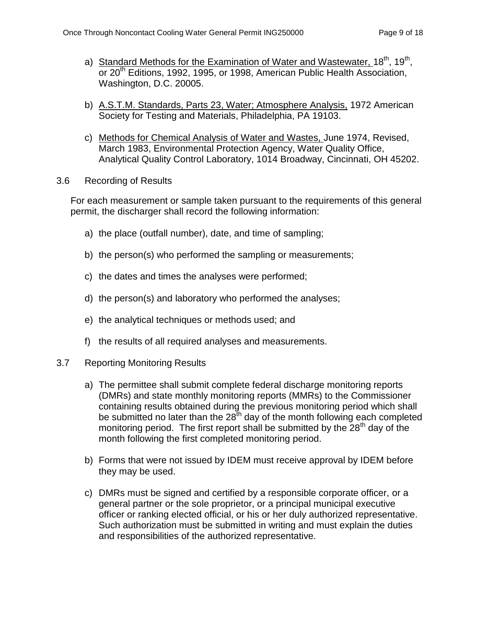- a) Standard Methods for the Examination of Water and Wastewater, 18<sup>th</sup>, 19<sup>th</sup>, or 20<sup>th</sup> Editions, 1992, 1995, or 1998, American Public Health Association, Washington, D.C. 20005.
- b) A.S.T.M. Standards, Parts 23, Water; Atmosphere Analysis, 1972 American Society for Testing and Materials, Philadelphia, PA 19103.
- c) Methods for Chemical Analysis of Water and Wastes, June 1974, Revised, March 1983, Environmental Protection Agency, Water Quality Office, Analytical Quality Control Laboratory, 1014 Broadway, Cincinnati, OH 45202.
- <span id="page-8-0"></span>3.6 Recording of Results

For each measurement or sample taken pursuant to the requirements of this general permit, the discharger shall record the following information:

- a) the place (outfall number), date, and time of sampling;
- b) the person(s) who performed the sampling or measurements;
- c) the dates and times the analyses were performed;
- d) the person(s) and laboratory who performed the analyses;
- e) the analytical techniques or methods used; and
- f) the results of all required analyses and measurements.
- <span id="page-8-1"></span>3.7 Reporting Monitoring Results
	- a) The permittee shall submit complete federal discharge monitoring reports (DMRs) and state monthly monitoring reports (MMRs) to the Commissioner containing results obtained during the previous monitoring period which shall be submitted no later than the  $28^{th}$  day of the month following each completed monitoring period. The first report shall be submitted by the  $28<sup>th</sup>$  day of the month following the first completed monitoring period.
	- b) Forms that were not issued by IDEM must receive approval by IDEM before they may be used.
	- c) DMRs must be signed and certified by a responsible corporate officer, or a general partner or the sole proprietor, or a principal municipal executive officer or ranking elected official, or his or her duly authorized representative. Such authorization must be submitted in writing and must explain the duties and responsibilities of the authorized representative.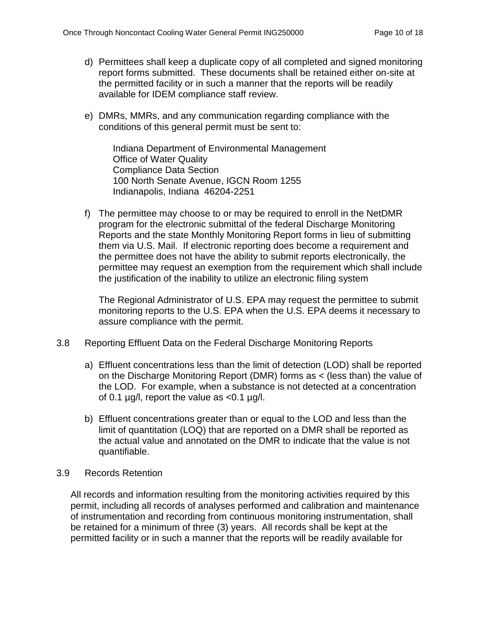- d) Permittees shall keep a duplicate copy of all completed and signed monitoring report forms submitted. These documents shall be retained either on-site at the permitted facility or in such a manner that the reports will be readily available for IDEM compliance staff review.
- e) DMRs, MMRs, and any communication regarding compliance with the conditions of this general permit must be sent to:

Indiana Department of Environmental Management Office of Water Quality Compliance Data Section 100 North Senate Avenue, IGCN Room 1255 Indianapolis, Indiana 46204-2251

f) The permittee may choose to or may be required to enroll in the NetDMR program for the electronic submittal of the federal Discharge Monitoring Reports and the state Monthly Monitoring Report forms in lieu of submitting them via U.S. Mail. If electronic reporting does become a requirement and the permittee does not have the ability to submit reports electronically, the permittee may request an exemption from the requirement which shall include the justification of the inability to utilize an electronic filing system

The Regional Administrator of U.S. EPA may request the permittee to submit monitoring reports to the U.S. EPA when the U.S. EPA deems it necessary to assure compliance with the permit.

- <span id="page-9-0"></span>3.8 Reporting Effluent Data on the Federal Discharge Monitoring Reports
	- a) Effluent concentrations less than the limit of detection (LOD) shall be reported on the Discharge Monitoring Report (DMR) forms as < (less than) the value of the LOD. For example, when a substance is not detected at a concentration of 0.1  $\mu$ g/l, report the value as <0.1  $\mu$ g/l.
	- b) Effluent concentrations greater than or equal to the LOD and less than the limit of quantitation (LOQ) that are reported on a DMR shall be reported as the actual value and annotated on the DMR to indicate that the value is not quantifiable.

## <span id="page-9-1"></span>3.9 Records Retention

All records and information resulting from the monitoring activities required by this permit, including all records of analyses performed and calibration and maintenance of instrumentation and recording from continuous monitoring instrumentation, shall be retained for a minimum of three (3) years. All records shall be kept at the permitted facility or in such a manner that the reports will be readily available for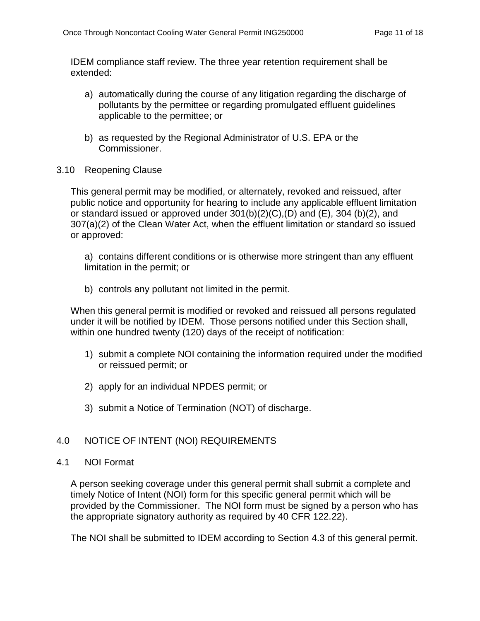IDEM compliance staff review. The three year retention requirement shall be extended:

- a) automatically during the course of any litigation regarding the discharge of pollutants by the permittee or regarding promulgated effluent guidelines applicable to the permittee; or
- b) as requested by the Regional Administrator of U.S. EPA or the Commissioner.
- <span id="page-10-0"></span>3.10 Reopening Clause

This general permit may be modified, or alternately, revoked and reissued, after public notice and opportunity for hearing to include any applicable effluent limitation or standard issued or approved under  $301(b)(2)(C)$ ,  $(D)$  and  $(E)$ ,  $304$   $(b)(2)$ , and 307(a)(2) of the Clean Water Act, when the effluent limitation or standard so issued or approved:

a) contains different conditions or is otherwise more stringent than any effluent limitation in the permit; or

b) controls any pollutant not limited in the permit.

When this general permit is modified or revoked and reissued all persons regulated under it will be notified by IDEM. Those persons notified under this Section shall, within one hundred twenty (120) days of the receipt of notification:

- 1) submit a complete NOI containing the information required under the modified or reissued permit; or
- 2) apply for an individual NPDES permit; or
- 3) submit a Notice of Termination (NOT) of discharge.

## <span id="page-10-1"></span>4.0 NOTICE OF INTENT (NOI) REQUIREMENTS

#### <span id="page-10-2"></span>4.1 NOI Format

A person seeking coverage under this general permit shall submit a complete and timely Notice of Intent (NOI) form for this specific general permit which will be provided by the Commissioner. The NOI form must be signed by a person who has the appropriate signatory authority as required by 40 CFR 122.22).

The NOI shall be submitted to IDEM according to Section 4.3 of this general permit.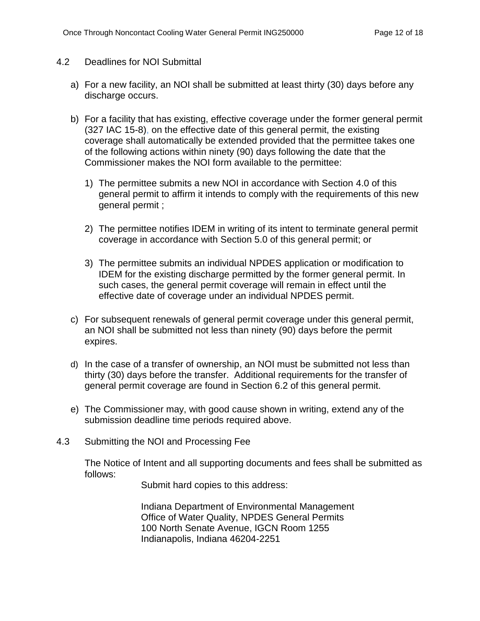## <span id="page-11-0"></span>4.2 Deadlines for NOI Submittal

- a) For a new facility, an NOI shall be submitted at least thirty (30) days before any discharge occurs.
- b) For a facility that has existing, effective coverage under the former general permit (327 IAC 15-8), on the effective date of this general permit, the existing coverage shall automatically be extended provided that the permittee takes one of the following actions within ninety (90) days following the date that the Commissioner makes the NOI form available to the permittee:
	- 1) The permittee submits a new NOI in accordance with Section 4.0 of this general permit to affirm it intends to comply with the requirements of this new general permit ;
	- 2) The permittee notifies IDEM in writing of its intent to terminate general permit coverage in accordance with Section 5.0 of this general permit; or
	- 3) The permittee submits an individual NPDES application or modification to IDEM for the existing discharge permitted by the former general permit. In such cases, the general permit coverage will remain in effect until the effective date of coverage under an individual NPDES permit.
- c) For subsequent renewals of general permit coverage under this general permit, an NOI shall be submitted not less than ninety (90) days before the permit expires.
- d) In the case of a transfer of ownership, an NOI must be submitted not less than thirty (30) days before the transfer. Additional requirements for the transfer of general permit coverage are found in Section 6.2 of this general permit.
- e) The Commissioner may, with good cause shown in writing, extend any of the submission deadline time periods required above.
- <span id="page-11-1"></span>4.3 Submitting the NOI and Processing Fee

The Notice of Intent and all supporting documents and fees shall be submitted as follows:

Submit hard copies to this address:

Indiana Department of Environmental Management Office of Water Quality, NPDES General Permits 100 North Senate Avenue, IGCN Room 1255 Indianapolis, Indiana 46204-2251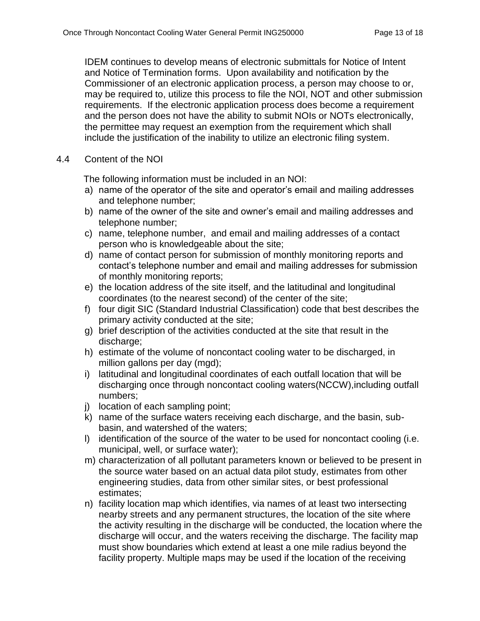IDEM continues to develop means of electronic submittals for Notice of Intent and Notice of Termination forms. Upon availability and notification by the Commissioner of an electronic application process, a person may choose to or, may be required to, utilize this process to file the NOI, NOT and other submission requirements. If the electronic application process does become a requirement and the person does not have the ability to submit NOIs or NOTs electronically, the permittee may request an exemption from the requirement which shall include the justification of the inability to utilize an electronic filing system.

<span id="page-12-0"></span>4.4 Content of the NOI

The following information must be included in an NOI:

- a) name of the operator of the site and operator's email and mailing addresses and telephone number;
- b) name of the owner of the site and owner's email and mailing addresses and telephone number;
- c) name, telephone number, and email and mailing addresses of a contact person who is knowledgeable about the site;
- d) name of contact person for submission of monthly monitoring reports and contact's telephone number and email and mailing addresses for submission of monthly monitoring reports;
- e) the location address of the site itself, and the latitudinal and longitudinal coordinates (to the nearest second) of the center of the site;
- f) four digit SIC (Standard Industrial Classification) code that best describes the primary activity conducted at the site;
- g) brief description of the activities conducted at the site that result in the discharge:
- h) estimate of the volume of noncontact cooling water to be discharged, in million gallons per day (mgd);
- i) latitudinal and longitudinal coordinates of each outfall location that will be discharging once through noncontact cooling waters(NCCW),including outfall numbers;
- j) location of each sampling point;
- k) name of the surface waters receiving each discharge, and the basin, subbasin, and watershed of the waters;
- l) identification of the source of the water to be used for noncontact cooling (i.e. municipal, well, or surface water);
- m) characterization of all pollutant parameters known or believed to be present in the source water based on an actual data pilot study, estimates from other engineering studies, data from other similar sites, or best professional estimates;
- n) facility location map which identifies, via names of at least two intersecting nearby streets and any permanent structures, the location of the site where the activity resulting in the discharge will be conducted, the location where the discharge will occur, and the waters receiving the discharge. The facility map must show boundaries which extend at least a one mile radius beyond the facility property. Multiple maps may be used if the location of the receiving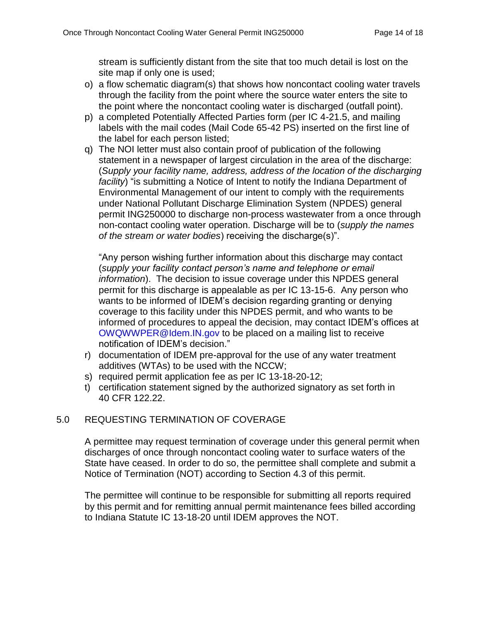stream is sufficiently distant from the site that too much detail is lost on the site map if only one is used;

- o) a flow schematic diagram(s) that shows how noncontact cooling water travels through the facility from the point where the source water enters the site to the point where the noncontact cooling water is discharged (outfall point).
- p) a completed Potentially Affected Parties form (per IC 4-21.5, and mailing labels with the mail codes (Mail Code 65-42 PS) inserted on the first line of the label for each person listed;
- q) The NOI letter must also contain proof of publication of the following statement in a newspaper of largest circulation in the area of the discharge: (*Supply your facility name, address, address of the location of the discharging facility*) "is submitting a Notice of Intent to notify the Indiana Department of Environmental Management of our intent to comply with the requirements under National Pollutant Discharge Elimination System (NPDES) general permit ING250000 to discharge non-process wastewater from a once through non-contact cooling water operation. Discharge will be to (*supply the names of the stream or water bodies*) receiving the discharge(s)".

"Any person wishing further information about this discharge may contact (*supply your facility contact person's name and telephone or email information*). The decision to issue coverage under this NPDES general permit for this discharge is appealable as per IC 13-15-6. Any person who wants to be informed of IDEM's decision regarding granting or denying coverage to this facility under this NPDES permit, and who wants to be informed of procedures to appeal the decision, may contact IDEM's offices at [OWQWWPER@Idem.IN.gov](mailto:OWQWWPER@Idem.IN.gov) to be placed on a mailing list to receive notification of IDEM's decision."

- r) documentation of IDEM pre-approval for the use of any water treatment additives (WTAs) to be used with the NCCW;
- s) required permit application fee as per IC 13-18-20-12;
- t) certification statement signed by the authorized signatory as set forth in 40 CFR 122.22.

# <span id="page-13-0"></span>5.0 REQUESTING TERMINATION OF COVERAGE

A permittee may request termination of coverage under this general permit when discharges of once through noncontact cooling water to surface waters of the State have ceased. In order to do so, the permittee shall complete and submit a Notice of Termination (NOT) according to Section 4.3 of this permit.

The permittee will continue to be responsible for submitting all reports required by this permit and for remitting annual permit maintenance fees billed according to Indiana Statute IC 13-18-20 until IDEM approves the NOT.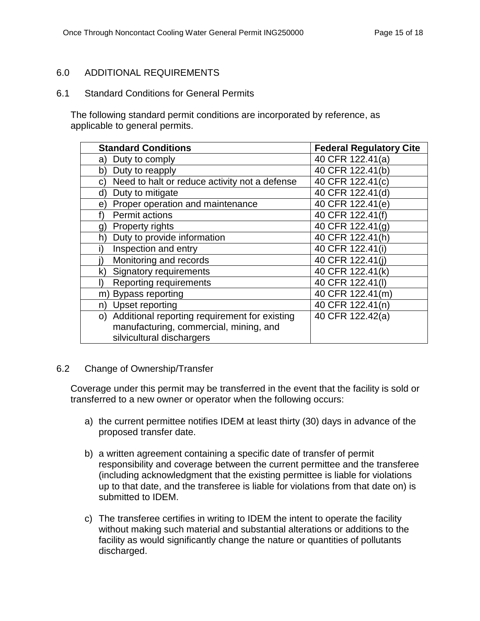## <span id="page-14-0"></span>6.0 ADDITIONAL REQUIREMENTS

<span id="page-14-1"></span>6.1 Standard Conditions for General Permits

The following standard permit conditions are incorporated by reference, as applicable to general permits.

| <b>Standard Conditions</b>                          | <b>Federal Regulatory Cite</b> |
|-----------------------------------------------------|--------------------------------|
| Duty to comply<br>a)                                | 40 CFR 122.41(a)               |
| Duty to reapply<br>þ)                               | 40 CFR 122.41(b)               |
| Need to halt or reduce activity not a defense<br>C) | 40 CFR 122.41(c)               |
| Duty to mitigate<br>d)                              | 40 CFR 122.41(d)               |
| Proper operation and maintenance<br>e)              | 40 CFR 122.41(e)               |
| <b>Permit actions</b>                               | 40 CFR 122.41(f)               |
| <b>Property rights</b><br>g)                        | 40 CFR 122.41(g)               |
| Duty to provide information<br>h)                   | 40 CFR 122.41(h)               |
| Inspection and entry                                | 40 CFR 122.41(i)               |
| Monitoring and records                              | 40 CFR 122.41(i)               |
| Signatory requirements<br>$\mathsf{k}$              | 40 CFR 122.41(k)               |
| <b>Reporting requirements</b><br>I)                 | 40 CFR 122.41(I)               |
| <b>Bypass reporting</b><br>m)                       | 40 CFR 122.41(m)               |
| Upset reporting<br>n)                               | 40 CFR 122.41(n)               |
| Additional reporting requirement for existing<br>O) | 40 CFR 122.42(a)               |
| manufacturing, commercial, mining, and              |                                |
| silvicultural dischargers                           |                                |

#### <span id="page-14-2"></span>6.2 Change of Ownership/Transfer

Coverage under this permit may be transferred in the event that the facility is sold or transferred to a new owner or operator when the following occurs:

- a) the current permittee notifies IDEM at least thirty (30) days in advance of the proposed transfer date.
- b) a written agreement containing a specific date of transfer of permit responsibility and coverage between the current permittee and the transferee (including acknowledgment that the existing permittee is liable for violations up to that date, and the transferee is liable for violations from that date on) is submitted to IDEM.
- c) The transferee certifies in writing to IDEM the intent to operate the facility without making such material and substantial alterations or additions to the facility as would significantly change the nature or quantities of pollutants discharged.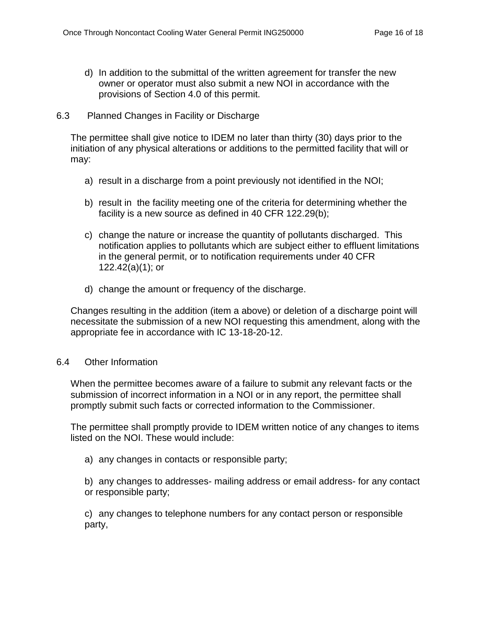- d) In addition to the submittal of the written agreement for transfer the new owner or operator must also submit a new NOI in accordance with the provisions of Section 4.0 of this permit.
- <span id="page-15-0"></span>6.3 Planned Changes in Facility or Discharge

The permittee shall give notice to IDEM no later than thirty (30) days prior to the initiation of any physical alterations or additions to the permitted facility that will or may:

- a) result in a discharge from a point previously not identified in the NOI;
- b) result in the facility meeting one of the criteria for determining whether the facility is a new source as defined in 40 CFR 122.29(b);
- c) change the nature or increase the quantity of pollutants discharged. This notification applies to pollutants which are subject either to effluent limitations in the general permit, or to notification requirements under 40 CFR 122.42(a)(1); or
- d) change the amount or frequency of the discharge.

Changes resulting in the addition (item a above) or deletion of a discharge point will necessitate the submission of a new NOI requesting this amendment, along with the appropriate fee in accordance with IC 13-18-20-12.

## <span id="page-15-1"></span>6.4 Other Information

When the permittee becomes aware of a failure to submit any relevant facts or the submission of incorrect information in a NOI or in any report, the permittee shall promptly submit such facts or corrected information to the Commissioner.

The permittee shall promptly provide to IDEM written notice of any changes to items listed on the NOI. These would include:

a) any changes in contacts or responsible party;

b) any changes to addresses- mailing address or email address- for any contact or responsible party;

c) any changes to telephone numbers for any contact person or responsible party,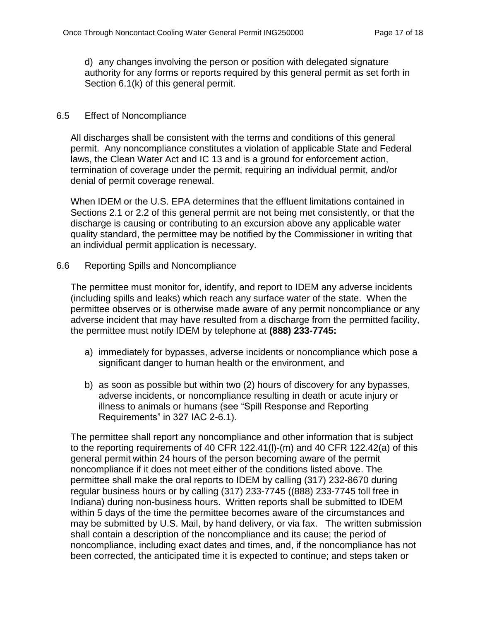d) any changes involving the person or position with delegated signature authority for any forms or reports required by this general permit as set forth in Section 6.1(k) of this general permit.

## <span id="page-16-0"></span>6.5 Effect of Noncompliance

All discharges shall be consistent with the terms and conditions of this general permit. Any noncompliance constitutes a violation of applicable State and Federal laws, the Clean Water Act and IC 13 and is a ground for enforcement action, termination of coverage under the permit, requiring an individual permit, and/or denial of permit coverage renewal.

When IDEM or the U.S. EPA determines that the effluent limitations contained in Sections 2.1 or 2.2 of this general permit are not being met consistently, or that the discharge is causing or contributing to an excursion above any applicable water quality standard, the permittee may be notified by the Commissioner in writing that an individual permit application is necessary.

### <span id="page-16-1"></span>6.6 Reporting Spills and Noncompliance

The permittee must monitor for, identify, and report to IDEM any adverse incidents (including spills and leaks) which reach any surface water of the state. When the permittee observes or is otherwise made aware of any permit noncompliance or any adverse incident that may have resulted from a discharge from the permitted facility, the permittee must notify IDEM by telephone at **(888) 233-7745:**

- a) immediately for bypasses, adverse incidents or noncompliance which pose a significant danger to human health or the environment, and
- b) as soon as possible but within two (2) hours of discovery for any bypasses, adverse incidents, or noncompliance resulting in death or acute injury or illness to animals or humans (see "Spill Response and Reporting Requirements" in 327 IAC 2-6.1).

The permittee shall report any noncompliance and other information that is subject to the reporting requirements of 40 CFR 122.41(l)-(m) and 40 CFR 122.42(a) of this general permit within 24 hours of the person becoming aware of the permit noncompliance if it does not meet either of the conditions listed above. The permittee shall make the oral reports to IDEM by calling (317) 232-8670 during regular business hours or by calling (317) 233-7745 ((888) 233-7745 toll free in Indiana) during non-business hours. Written reports shall be submitted to IDEM within 5 days of the time the permittee becomes aware of the circumstances and may be submitted by U.S. Mail, by hand delivery, or via fax. The written submission shall contain a description of the noncompliance and its cause; the period of noncompliance, including exact dates and times, and, if the noncompliance has not been corrected, the anticipated time it is expected to continue; and steps taken or